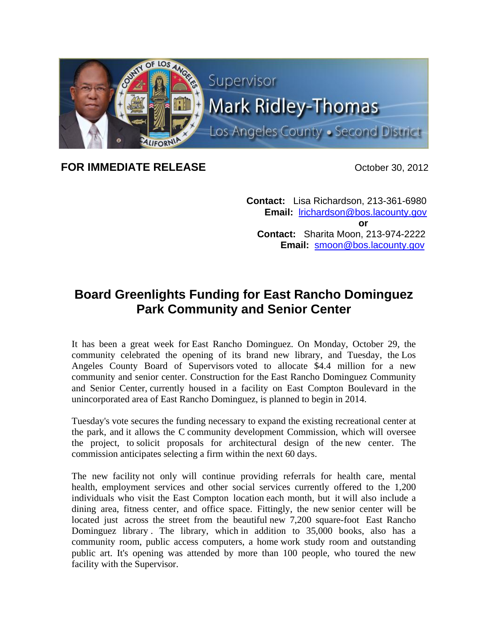

## **FOR IMMEDIATE RELEASE COMPANY COMPANY October 30, 2012**

 **Contact:** Lisa Richardson, 213-361-6980 **Email:** lrichardson@bos.lacounty.gov *<u>oration in the state of the state of the state of the state of the state of the state of the state of the state of the state of the state of the state of the state of the state of the state of the state of the state of* </u>  **Contact:** Sharita Moon, 213-974-2222 **Email:** smoon@bos.lacounty.gov

## **Board Greenlights Funding for East Rancho Dominguez Park Community and Senior Center**

It has been a great week for East Rancho Dominguez. On Monday, October 29, the community celebrated the opening of its brand new library, and Tuesday, the Los Angeles County Board of Supervisors voted to allocate \$4.4 million for a new community and senior center. Construction for the East Rancho Dominguez Community and Senior Center, currently housed in a facility on East Compton Boulevard in the unincorporated area of East Rancho Dominguez, is planned to begin in 2014.

Tuesday's vote secures the funding necessary to expand the existing recreational center at the park, and it allows the C community development Commission, which will oversee the project, to solicit proposals for architectural design of the new center. The commission anticipates selecting a firm within the next 60 days.

The new facility not only will continue providing referrals for health care, mental health, employment services and other social services currently offered to the 1,200 individuals who visit the East Compton location each month, but it will also include a dining area, fitness center, and office space. Fittingly, the new senior center will be located just across the street from the beautiful new 7,200 square-foot East Rancho Dominguez library. The library, which in addition to 35,000 books, also has a community room, public access computers, a home work study room and outstanding public art. It's opening was attended by more than 100 people, who toured the new facility with the Supervisor.